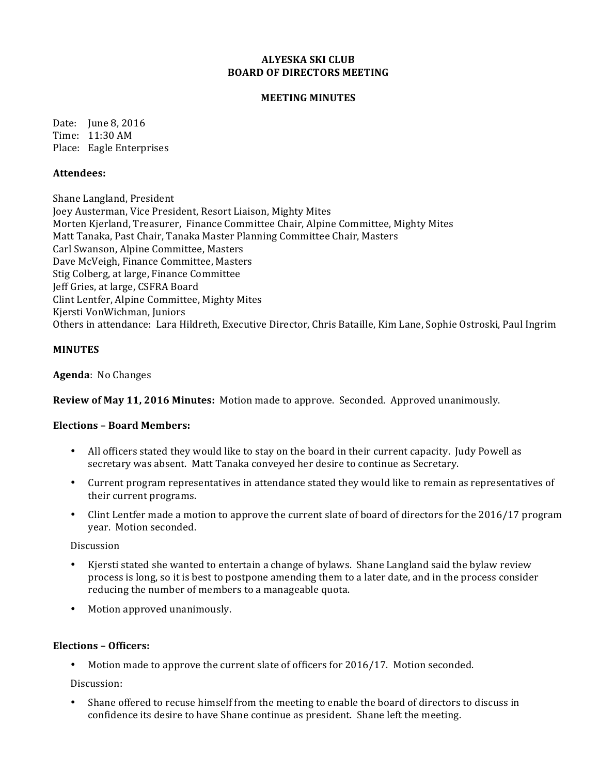## **ALYESKA SKI CLUB BOARD OF DIRECTORS MEETING**

## **MEETING MINUTES**

Date: June 8, 2016 Time: 11:30 AM Place: Eagle Enterprises

### **Attendees:**

Shane Langland, President Joey Austerman, Vice President, Resort Liaison, Mighty Mites Morten Kjerland, Treasurer, Finance Committee Chair, Alpine Committee, Mighty Mites Matt Tanaka, Past Chair, Tanaka Master Planning Committee Chair, Masters Carl Swanson, Alpine Committee, Masters Dave McVeigh, Finance Committee, Masters Stig Colberg, at large, Finance Committee Jeff Gries, at large, CSFRA Board Clint Lentfer, Alpine Committee, Mighty Mites Kjersti VonWichman, Juniors Others in attendance: Lara Hildreth, Executive Director, Chris Bataille, Kim Lane, Sophie Ostroski, Paul Ingrim

### **MINUTES**

Agenda: No Changes

**Review of May 11, 2016 Minutes:** Motion made to approve. Seconded. Approved unanimously.

#### **Elections – Board Members:**

- All officers stated they would like to stay on the board in their current capacity. Judy Powell as secretary was absent. Matt Tanaka conveyed her desire to continue as Secretary.
- Current program representatives in attendance stated they would like to remain as representatives of their current programs.
- Clint Lentfer made a motion to approve the current slate of board of directors for the  $2016/17$  program vear. Motion seconded.

Discussion

- Kjersti stated she wanted to entertain a change of bylaws. Shane Langland said the bylaw review process is long, so it is best to postpone amending them to a later date, and in the process consider reducing the number of members to a manageable quota.
- Motion approved unanimously.

# **Elections – Officers:**

Motion made to approve the current slate of officers for  $2016/17$ . Motion seconded.

Discussion: 

Shane offered to recuse himself from the meeting to enable the board of directors to discuss in confidence its desire to have Shane continue as president. Shane left the meeting.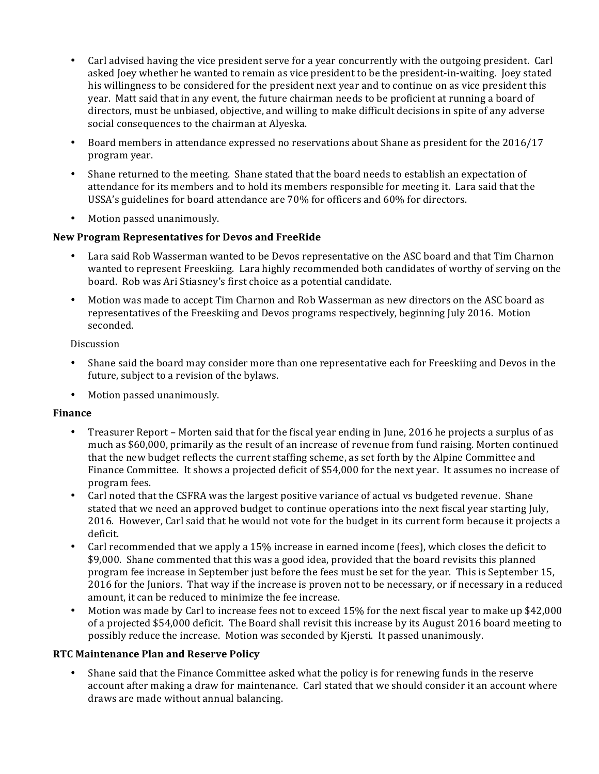- Carl advised having the vice president serve for a year concurrently with the outgoing president. Carl asked Joey whether he wanted to remain as vice president to be the president-in-waiting. Joey stated his willingness to be considered for the president next year and to continue on as vice president this year. Matt said that in any event, the future chairman needs to be proficient at running a board of directors, must be unbiased, objective, and willing to make difficult decisions in spite of any adverse social consequences to the chairman at Alyeska.
- Board members in attendance expressed no reservations about Shane as president for the 2016/17 program year.
- Shane returned to the meeting. Shane stated that the board needs to establish an expectation of attendance for its members and to hold its members responsible for meeting it. Lara said that the USSA's guidelines for board attendance are 70% for officers and 60% for directors.
- Motion passed unanimously.

# **New Program Representatives for Devos and FreeRide**

- Lara said Rob Wasserman wanted to be Devos representative on the ASC board and that Tim Charnon wanted to represent Freeskiing. Lara highly recommended both candidates of worthy of serving on the board. Rob was Ari Stiasney's first choice as a potential candidate.
- Motion was made to accept Tim Charnon and Rob Wasserman as new directors on the ASC board as representatives of the Freeskiing and Devos programs respectively, beginning July 2016. Motion seconded.

Discussion

- Shane said the board may consider more than one representative each for Freeskiing and Devos in the future, subject to a revision of the bylaws.
- Motion passed unanimously.

# **Finance**

- Treasurer Report Morten said that for the fiscal year ending in June, 2016 he projects a surplus of as much as \$60,000, primarily as the result of an increase of revenue from fund raising. Morten continued that the new budget reflects the current staffing scheme, as set forth by the Alpine Committee and Finance Committee. It shows a projected deficit of \$54,000 for the next year. It assumes no increase of program fees.
- Carl noted that the CSFRA was the largest positive variance of actual vs budgeted revenue. Shane stated that we need an approved budget to continue operations into the next fiscal year starting July, 2016. However, Carl said that he would not vote for the budget in its current form because it projects a deficit.
- Carl recommended that we apply a 15% increase in earned income (fees), which closes the deficit to \$9,000. Shane commented that this was a good idea, provided that the board revisits this planned program fee increase in September just before the fees must be set for the year. This is September 15, 2016 for the Juniors. That way if the increase is proven not to be necessary, or if necessary in a reduced amount, it can be reduced to minimize the fee increase.
- Motion was made by Carl to increase fees not to exceed 15% for the next fiscal year to make up \$42,000 of a projected \$54,000 deficit. The Board shall revisit this increase by its August 2016 board meeting to possibly reduce the increase. Motion was seconded by Kjersti. It passed unanimously.

# **RTC Maintenance Plan and Reserve Policy**

Shane said that the Finance Committee asked what the policy is for renewing funds in the reserve account after making a draw for maintenance. Carl stated that we should consider it an account where draws are made without annual balancing.